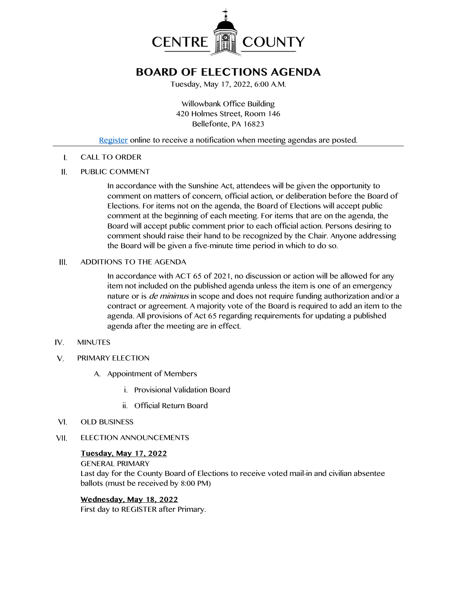

# **BOARD OF ELECTIONS AGENDA**

Tuesday, May 17, 2022, 6:00 A.M.

Willowbank Office Building 420 Holmes Street, Room 146 Bellefonte, PA 16823

### [Register](http://www.centrecountypa.gov/AgendaCenter) online to receive a notification when meeting agendas are posted.

CALL TO ORDER  $\mathsf{L}$ 

#### $II.$ PUBLIC COMMENT

In accordance with the Sunshine Act, attendees will be given the opportunity to comment on matters of concern, official action, or deliberation before the Board of Elections. For items not on the agenda, the Board of Elections will accept public comment at the beginning of each meeting. For items that are on the agenda, the Board will accept public comment prior to each official action. Persons desiring to comment should raise their hand to be recognized by the Chair. Anyone addressing the Board will be given a five-minute time period in which to do so.

#### III. ADDITIONS TO THE AGENDA

In accordance with ACT 65 of 2021, no discussion or action will be allowed for any item not included on the published agenda unless the item is one of an emergency nature or is *de minimus* in scope and does not require funding authorization and/or a contract or agreement. A majority vote of the Board is required to add an item to the agenda. All provisions of Act 65 regarding requirements for updating a published agenda after the meeting are in effect.

- $IV.$ MINUTES
- $V_{1}$ PRIMARY ELECTION
	- A. Appointment of Members
		- i. Provisional Validation Board
		- ii. Official Return Board
- $VI.$ OLD BUSINESS
- VII. ELECTION ANNOUNCEMENTS

### **Tuesday, May 17, 2022** GENERAL PRIMARY

Last day for the County Board of Elections to receive voted mail-in and civilian absentee ballots (must be received by 8:00 PM)

# **Wednesday, May 18, 2022**

First day to REGISTER after Primary.